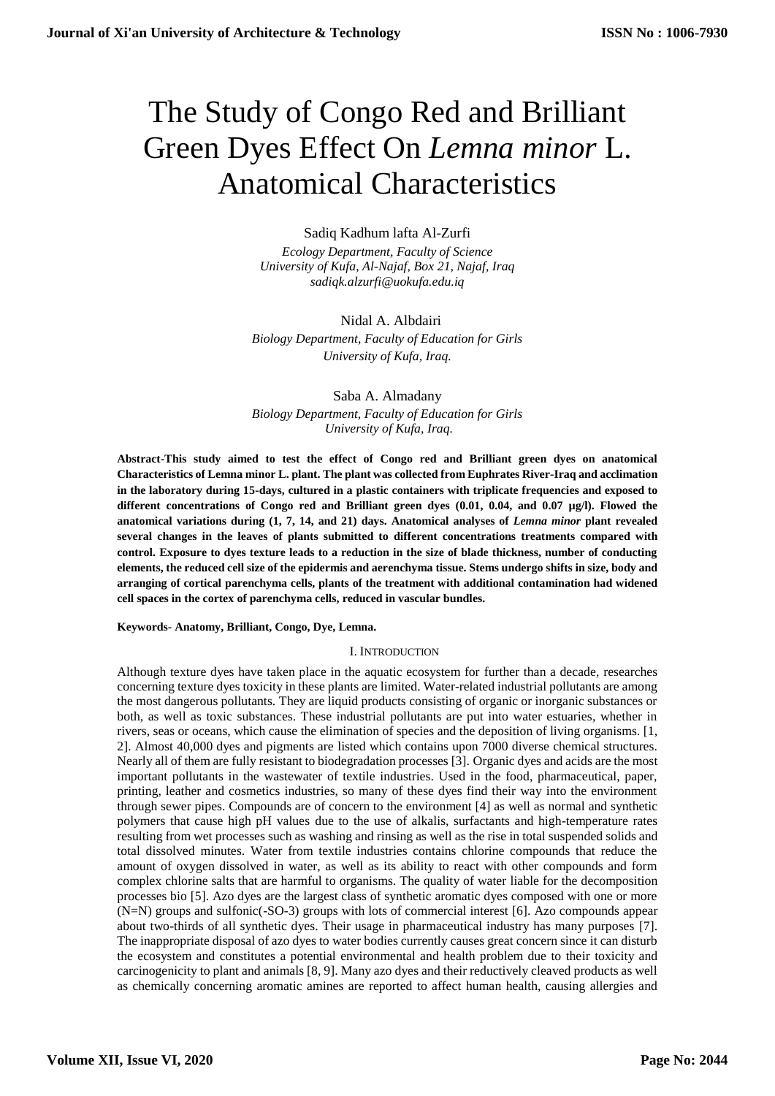# The Study of Congo Red and Brilliant Green Dyes Effect On *Lemna minor* L. Anatomical Characteristics

# Sadiq Kadhum lafta Al-Zurfi

*Ecology Department, Faculty of Science University of Kufa, Al-Najaf, Box 21, Najaf, Iraq sadiqk.alzurfi@uokufa.edu.iq*

## Nidal A. Albdairi

*Biology Department, Faculty of Education for Girls University of Kufa, Iraq.*

Saba A. Almadany *Biology Department, Faculty of Education for Girls University of Kufa, Iraq.*

**Abstract-This study aimed to test the effect of Congo red and Brilliant green dyes on anatomical Characteristics of Lemna minor L. plant. The plant was collected from Euphrates River-Iraq and acclimation in the laboratory during 15-days, cultured in a plastic containers with triplicate frequencies and exposed to different concentrations of Congo red and Brilliant green dyes (0.01, 0.04, and 0.07 µg/l). Flowed the anatomical variations during (1, 7, 14, and 21) days. Anatomical analyses of** *Lemna minor* **plant revealed several changes in the leaves of plants submitted to different concentrations treatments compared with control. Exposure to dyes texture leads to a reduction in the size of blade thickness, number of conducting elements, the reduced cell size of the epidermis and aerenchyma tissue. Stems undergo shifts in size, body and arranging of cortical parenchyma cells, plants of the treatment with additional contamination had widened cell spaces in the cortex of parenchyma cells, reduced in vascular bundles.**

**Keywords- Anatomy, Brilliant, Congo, Dye, Lemna.**

#### I. INTRODUCTION

Although texture dyes have taken place in the aquatic ecosystem for further than a decade, researches concerning texture dyes toxicity in these plants are limited. Water-related industrial pollutants are among the most dangerous pollutants. They are liquid products consisting of organic or inorganic substances or both, as well as toxic substances. These industrial pollutants are put into water estuaries, whether in rivers, seas or oceans, which cause the elimination of species and the deposition of living organisms. [1, 2]. Almost 40,000 dyes and pigments are listed which contains upon 7000 diverse chemical structures. Nearly all of them are fully resistant to biodegradation processes [3]. Organic dyes and acids are the most important pollutants in the wastewater of textile industries. Used in the food, pharmaceutical, paper, printing, leather and cosmetics industries, so many of these dyes find their way into the environment through sewer pipes. Compounds are of concern to the environment [4] as well as normal and synthetic polymers that cause high pH values due to the use of alkalis, surfactants and high-temperature rates resulting from wet processes such as washing and rinsing as well as the rise in total suspended solids and total dissolved minutes. Water from textile industries contains chlorine compounds that reduce the amount of oxygen dissolved in water, as well as its ability to react with other compounds and form complex chlorine salts that are harmful to organisms. The quality of water liable for the decomposition processes bio [5]. Azo dyes are the largest class of synthetic aromatic dyes composed with one or more (N=N) groups and sulfonic(-SO-3) groups with lots of commercial interest [6]. Azo compounds appear about two-thirds of all synthetic dyes. Their usage in pharmaceutical industry has many purposes [7]. The inappropriate disposal of azo dyes to water bodies currently causes great concern since it can disturb the ecosystem and constitutes a potential environmental and health problem due to their toxicity and carcinogenicity to plant and animals [8, 9]. Many azo dyes and their reductively cleaved products as well as chemically concerning aromatic amines are reported to affect human health, causing allergies and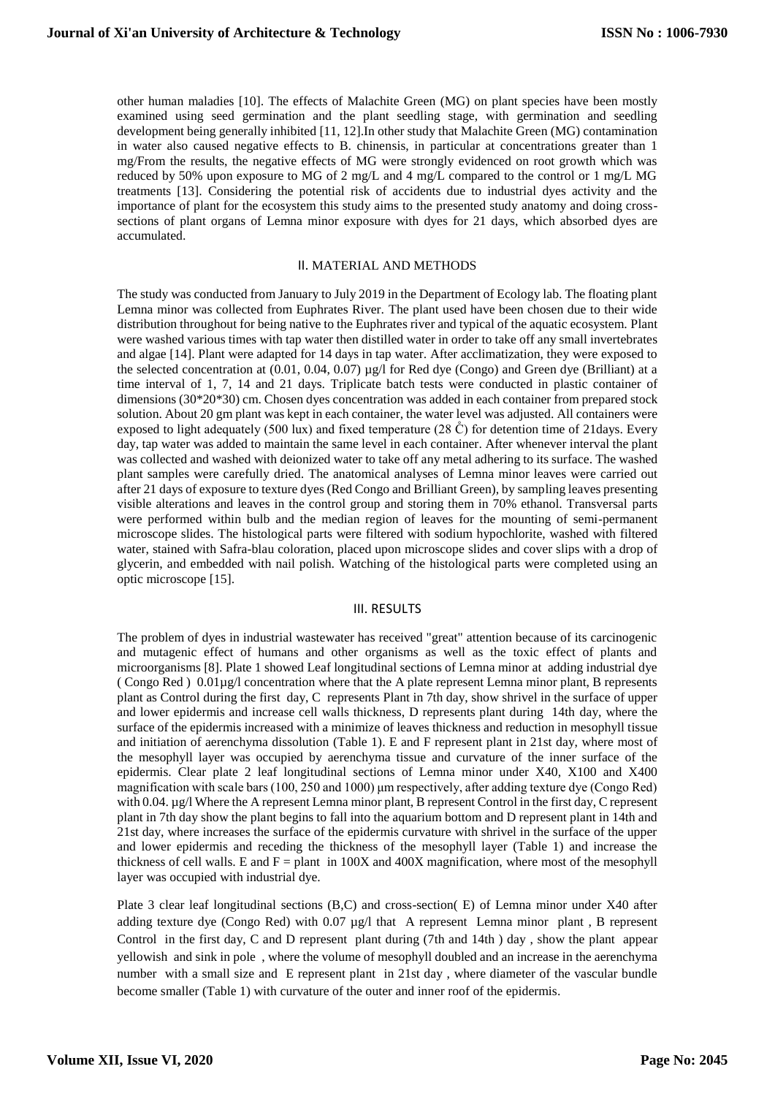other human maladies [10]. The effects of [Malachite Green](https://www.sciencedirect.com/topics/agricultural-and-biological-sciences/malachite-green) (MG) on plant species have been mostly examined using seed germination and the plant seedling stage, with germination and seedling development being generally inhibited [11, 12].In other study that [Malachite Green](https://www.sciencedirect.com/topics/agricultural-and-biological-sciences/malachite-green) (MG) contamination in water also caused negative effects to B. chinensis, in particular at concentrations greater than 1 mg/From the results, the negative effects of MG were strongly evidenced on root growth which was reduced by 50% upon exposure to MG of 2 mg/L and 4 mg/L compared to the control or 1 mg/L MG treatments [13]. Considering the potential risk of accidents due to industrial dyes activity and the importance of plant for the ecosystem this study aims to the presented study anatomy and doing crosssections of plant organs of Lemna minor exposure with dyes for 21 days, which absorbed dyes are accumulated.

## II. MATERIAL AND METHODS

The study was conducted from January to July 2019 in the Department of Ecology lab. The floating plant Lemna minor was collected from Euphrates River. The plant used have been chosen due to their wide distribution throughout for being native to the Euphrates river and typical of the aquatic ecosystem. Plant were washed various times with tap water then distilled water in order to take off any small invertebrates and algae [14]. Plant were adapted for 14 days in tap water. After acclimatization, they were exposed to the selected concentration at (0.01, 0.04, 0.07) µg/l for Red dye (Congo) and Green dye (Brilliant) at a time interval of 1, 7, 14 and 21 days. Triplicate batch tests were conducted in plastic container of dimensions (30\*20\*30) cm. Chosen dyes concentration was added in each container from prepared stock solution. About 20 gm plant was kept in each container, the water level was adjusted. All containers were exposed to light adequately (500 lux) and fixed temperature (28  $\mathring{C}$ ) for detention time of 21 days. Every day, tap water was added to maintain the same level in each container. After whenever interval the plant was collected and washed with deionized water to take off any metal adhering to its surface. The washed plant samples were carefully dried. The anatomical analyses of Lemna minor leaves were carried out after 21 days of exposure to texture dyes (Red Congo and Brilliant Green), by sampling leaves presenting visible alterations and leaves in the control group and storing them in 70% ethanol. Transversal parts were performed within bulb and the median region of leaves for the mounting of semi-permanent microscope slides. The histological parts were filtered with sodium hypochlorite, washed with filtered water, stained with Safra-blau coloration, placed upon microscope slides and cover slips with a drop of glycerin, and embedded with nail polish. Watching of the histological parts were completed using an optic microscope [15].

### III. RESULTS

The problem of dyes in industrial wastewater has received "great" attention because of its carcinogenic and mutagenic effect of humans and other organisms as well as the toxic effect of plants and microorganisms [8]. Plate 1 showed Leaf longitudinal sections of Lemna minor at adding industrial dye ( Congo Red ) 0.01µg/l concentration where that the A plate represent Lemna minor plant, B represents plant as Control during the first day, C represents Plant in 7th day, show shrivel in the surface of upper and lower epidermis and increase cell walls thickness, D represents plant during 14th day, where the surface of the epidermis increased with a minimize of leaves thickness and reduction in mesophyll tissue and initiation of aerenchyma dissolution (Table 1). E and F represent plant in 21st day, where most of the mesophyll layer was occupied by aerenchyma tissue and curvature of the inner surface of the epidermis. Clear plate 2 leaf longitudinal sections of Lemna minor under X40, X100 and X400 magnification with scale bars (100, 250 and 1000) μm respectively, after adding texture dye (Congo Red) with 0.04. µg/l Where the A represent Lemna minor plant, B represent Control in the first day, C represent plant in 7th day show the plant begins to fall into the aquarium bottom and D represent plant in 14th and 21st day, where increases the surface of the epidermis curvature with shrivel in the surface of the upper and lower epidermis and receding the thickness of the mesophyll layer (Table 1) and increase the thickness of cell walls. E and  $F =$  plant in 100X and 400X magnification, where most of the mesophyll layer was occupied with industrial dye.

Plate 3 clear leaf longitudinal sections (B,C) and cross-section( E) of Lemna minor under X40 after adding texture dye (Congo Red) with 0.07 µg/l that A represent Lemna minor plant , B represent Control in the first day, C and D represent plant during (7th and 14th ) day , show the plant appear yellowish and sink in pole , where the volume of mesophyll doubled and an increase in the aerenchyma number with a small size and E represent plant in 21st day , where diameter of the vascular bundle become smaller (Table 1) with curvature of the outer and inner roof of the epidermis.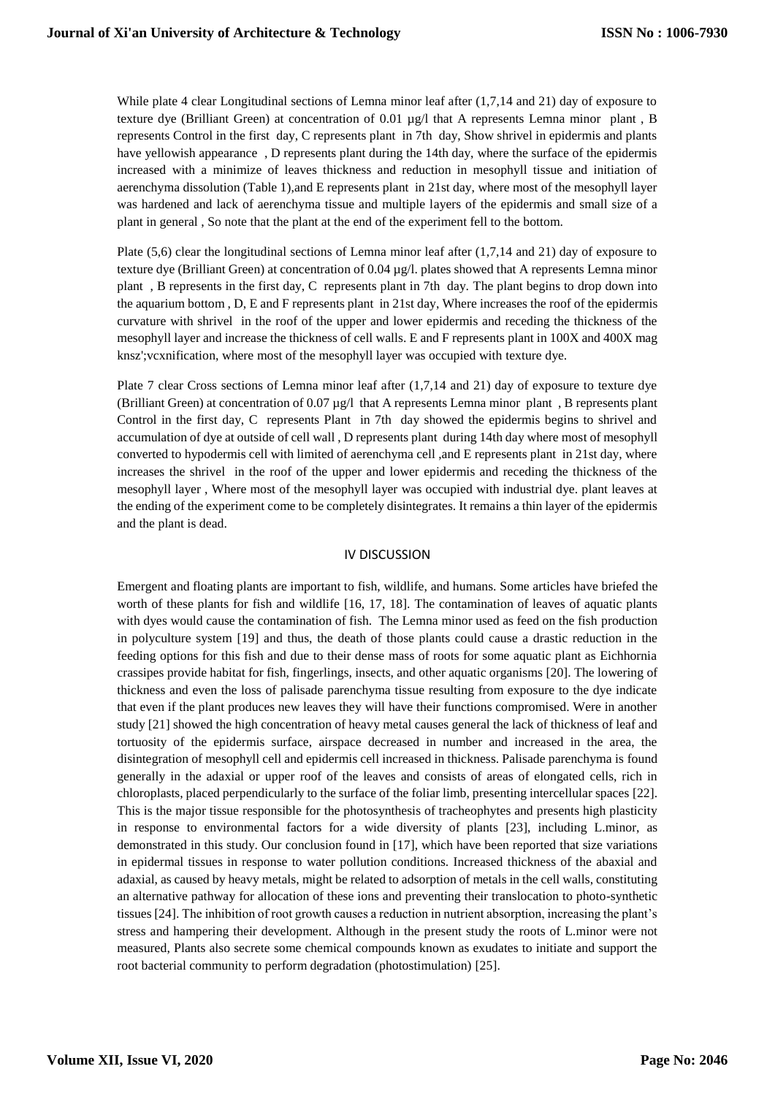While plate 4 clear Longitudinal sections of Lemna minor leaf after  $(1,7,14 \text{ and } 21)$  day of exposure to texture dye (Brilliant Green) at concentration of 0.01 µg/l that A represents Lemna minor plant , B represents Control in the first day, C represents plant in 7th day, Show shrivel in epidermis and plants have yellowish appearance , D represents plant during the 14th day, where the surface of the epidermis increased with a minimize of leaves thickness and reduction in mesophyll tissue and initiation of aerenchyma dissolution (Table 1),and E represents plant in 21st day, where most of the mesophyll layer was hardened and lack of aerenchyma tissue and multiple layers of the epidermis and small size of a plant in general , So note that the plant at the end of the experiment fell to the bottom.

Plate (5,6) clear the longitudinal sections of Lemna minor leaf after (1,7,14 and 21) day of exposure to texture dye (Brilliant Green) at concentration of 0.04 µg/l. plates showed that A represents Lemna minor plant , B represents in the first day, C represents plant in 7th day. The plant begins to drop down into the aquarium bottom , D, E and F represents plant in 21st day, Where increases the roof of the epidermis curvature with shrivel in the roof of the upper and lower epidermis and receding the thickness of the mesophyll layer and increase the thickness of cell walls. E and F represents plant in 100X and 400X mag knsz';vcxnification, where most of the mesophyll layer was occupied with texture dye.

Plate 7 clear Cross sections of Lemna minor leaf after (1,7,14 and 21) day of exposure to texture dye (Brilliant Green) at concentration of 0.07 µg/l that A represents Lemna minor plant , B represents plant Control in the first day, C represents Plant in 7th day showed the epidermis begins to shrivel and accumulation of dye at outside of cell wall , D represents plant during 14th day where most of mesophyll converted to hypodermis cell with limited of aerenchyma cell ,and E represents plant in 21st day, where increases the shrivel in the roof of the upper and lower epidermis and receding the thickness of the mesophyll layer , Where most of the mesophyll layer was occupied with industrial dye. plant leaves at the ending of the experiment come to be completely disintegrates. It remains a thin layer of the epidermis and the plant is dead.

## IV DISCUSSION

Emergent and floating plants are important to fish, wildlife, and humans. Some articles have briefed the worth of these plants for fish and wildlife [16, 17, 18]. The contamination of leaves of aquatic plants with dyes would cause the contamination of fish. The Lemna minor used as feed on the fish production in polyculture system [19] and thus, the death of those plants could cause a drastic reduction in the feeding options for this fish and due to their dense mass of roots for some aquatic plant as Eichhornia crassipes provide habitat for fish, fingerlings, insects, and other aquatic organisms [20]. The lowering of thickness and even the loss of palisade parenchyma tissue resulting from exposure to the dye indicate that even if the plant produces new leaves they will have their functions compromised. Were in another study [21] showed the high concentration of heavy metal causes general the lack of thickness of leaf and tortuosity of the epidermis surface, airspace decreased in number and increased in the area, the disintegration of mesophyll cell and epidermis cell increased in thickness. Palisade parenchyma is found generally in the adaxial or upper roof of the leaves and consists of areas of elongated cells, rich in chloroplasts, placed perpendicularly to the surface of the foliar limb, presenting intercellular spaces [22]. This is the major tissue responsible for the photosynthesis of tracheophytes and presents high plasticity in response to environmental factors for a wide diversity of plants [23], including L.minor, as demonstrated in this study. Our conclusion found in [17], which have been reported that size variations in epidermal tissues in response to water pollution conditions. Increased thickness of the abaxial and adaxial, as caused by heavy metals, might be related to adsorption of metals in the cell walls, constituting an alternative pathway for allocation of these ions and preventing their translocation to photo-synthetic tissues [24]. The inhibition of root growth causes a reduction in nutrient absorption, increasing the plant's stress and hampering their development. Although in the present study the roots of L.minor were not measured, Plants also secrete some chemical compounds known as exudates to initiate and support the root bacterial community to perform degradation (photostimulation) [25].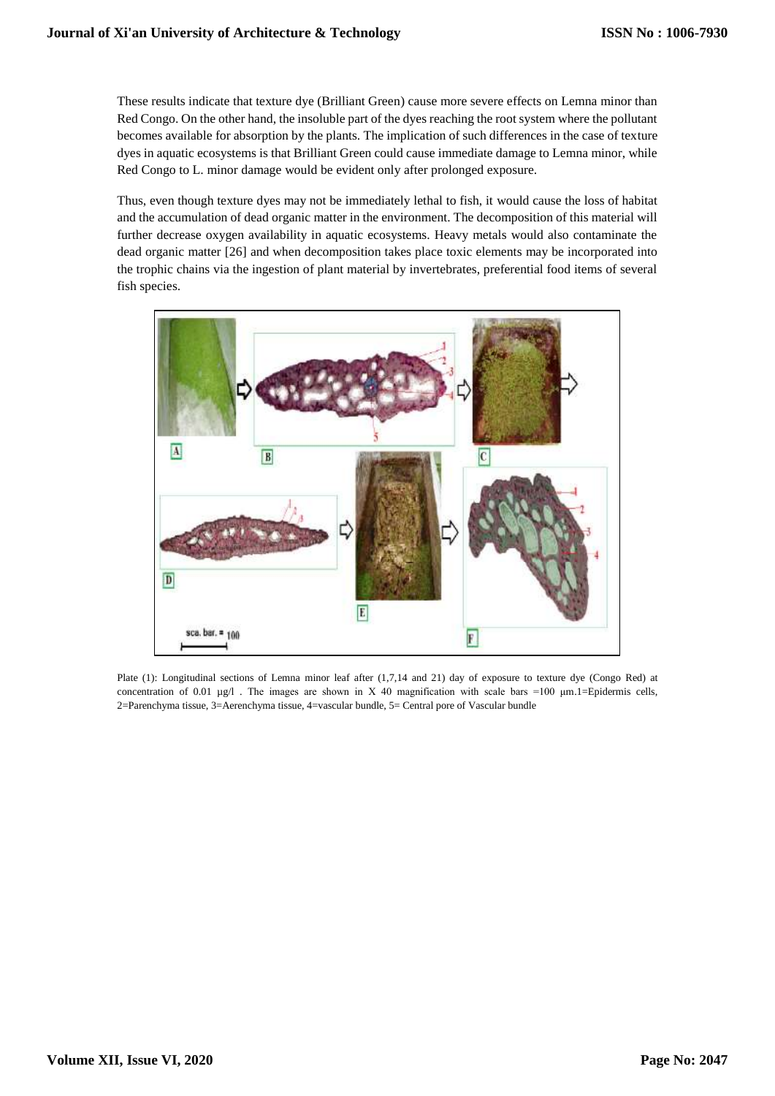These results indicate that texture dye (Brilliant Green) cause more severe effects on Lemna minor than Red Congo. On the other hand, the insoluble part of the dyes reaching the root system where the pollutant becomes available for absorption by the plants. The implication of such differences in the case of texture dyes in aquatic ecosystems is that Brilliant Green could cause immediate damage to Lemna minor, while Red Congo to L. minor damage would be evident only after prolonged exposure.

Thus, even though texture dyes may not be immediately lethal to fish, it would cause the loss of habitat and the accumulation of dead organic matter in the environment. The decomposition of this material will further decrease oxygen availability in aquatic ecosystems. Heavy metals would also contaminate the dead organic matter [26] and when decomposition takes place toxic elements may be incorporated into the trophic chains via the ingestion of plant material by invertebrates, preferential food items of several fish species.



Plate (1): Longitudinal sections of Lemna minor leaf after (1,7,14 and 21) day of exposure to texture dye (Congo Red) at concentration of 0.01  $\mu$ g/l . The images are shown in X 40 magnification with scale bars =100  $\mu$ m.1=Epidermis cells, 2=Parenchyma tissue, 3=Aerenchyma tissue, 4=vascular bundle, 5= Central pore of Vascular bundle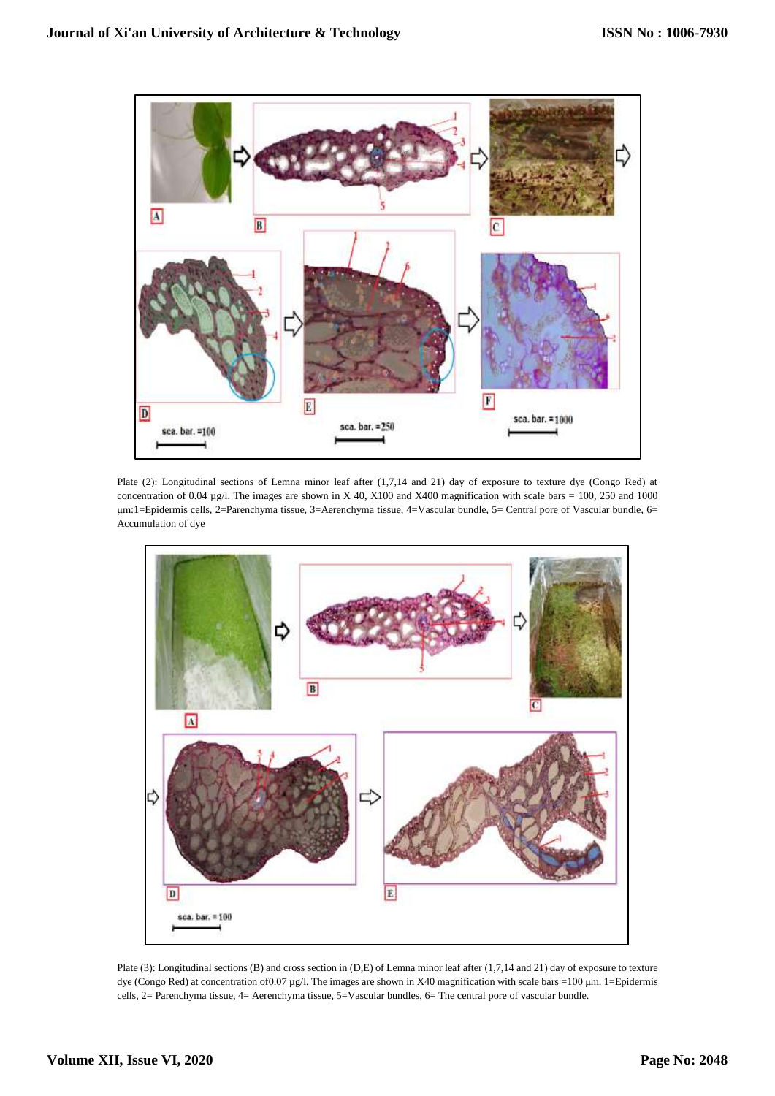

Plate (2): Longitudinal sections of Lemna minor leaf after (1,7,14 and 21) day of exposure to texture dye (Congo Red) at concentration of 0.04  $\mu$ g/l. The images are shown in X 40, X100 and X400 magnification with scale bars = 100, 250 and 1000 μm:1=Epidermis cells, 2=Parenchyma tissue, 3=Aerenchyma tissue, 4=Vascular bundle, 5= Central pore of Vascular bundle, 6= Accumulation of dye



Plate (3): Longitudinal sections (B) and cross section in (D,E) of Lemna minor leaf after (1,7,14 and 21) day of exposure to texture dye (Congo Red) at concentration of 0.07 μg/l. The images are shown in X40 magnification with scale bars =100 μm. 1=Epidermis cells, 2= Parenchyma tissue, 4= Aerenchyma tissue, 5=Vascular bundles, 6= The central pore of vascular bundle.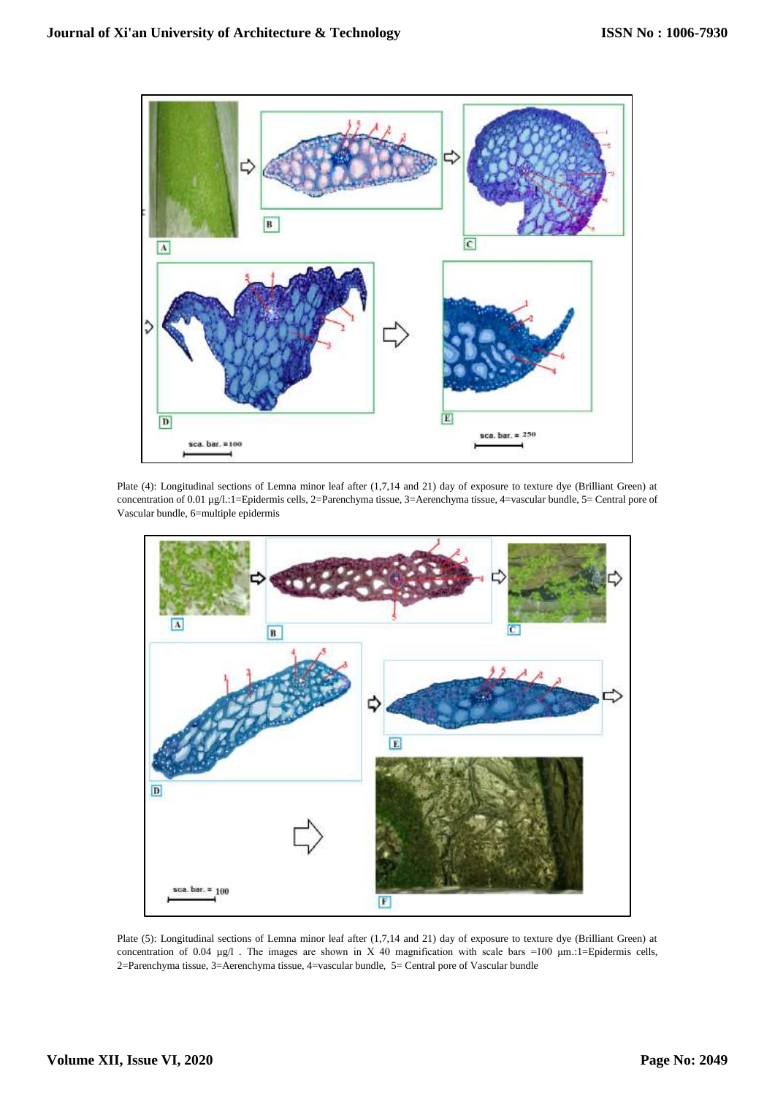

Plate (4): Longitudinal sections of Lemna minor leaf after (1,7,14 and 21) day of exposure to texture dye (Brilliant Green) at concentration of 0.01 µg/l.:1=Epidermis cells, 2=Parenchyma tissue, 3=Aerenchyma tissue, 4=vascular bundle, 5= Central pore of Vascular bundle, 6=multiple epidermis



Plate (5): Longitudinal sections of Lemna minor leaf after (1,7,14 and 21) day of exposure to texture dye (Brilliant Green) at concentration of 0.04  $\mu$ g/l. The images are shown in X 40 magnification with scale bars =100  $\mu$ m.:1=Epidermis cells, 2=Parenchyma tissue, 3=Aerenchyma tissue, 4=vascular bundle, 5= Central pore of Vascular bundle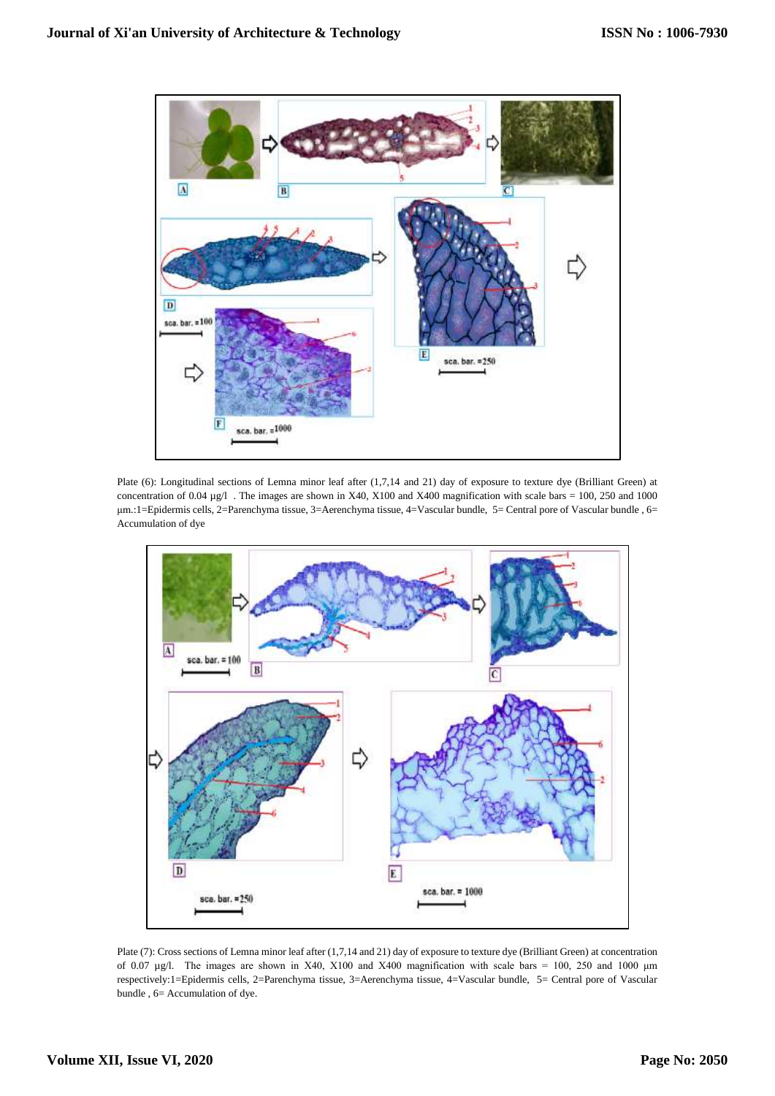

Plate (6): Longitudinal sections of Lemna minor leaf after (1,7,14 and 21) day of exposure to texture dye (Brilliant Green) at concentration of  $0.04 \mu g/l$ . The images are shown in X40, X100 and X400 magnification with scale bars = 100, 250 and 1000 μm.:1=Epidermis cells, 2=Parenchyma tissue, 3=Aerenchyma tissue, 4=Vascular bundle, 5= Central pore of Vascular bundle , 6= Accumulation of dye



Plate (7): Cross sections of Lemna minor leaf after (1,7,14 and 21) day of exposure to texture dye (Brilliant Green) at concentration of 0.07 µg/l. The images are shown in X40, X100 and X400 magnification with scale bars = 100, 250 and 1000 μm respectively:1=Epidermis cells, 2=Parenchyma tissue, 3=Aerenchyma tissue, 4=Vascular bundle, 5= Central pore of Vascular bundle , 6= Accumulation of dye.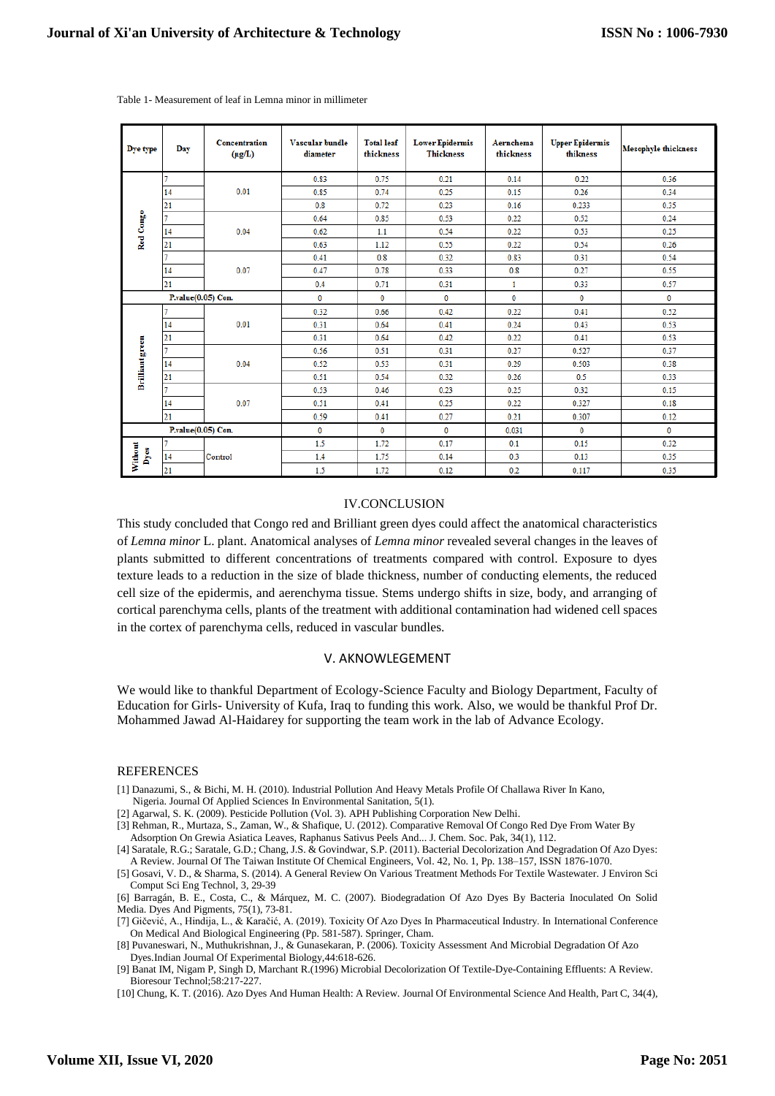| Dye type               | Day            | <b>Concentration</b><br>$(\mu g/L)$ | Vascular bundle<br>diameter | <b>Total leaf</b><br>thickness | <b>Lower Epidermis</b><br><b>Thickness</b> | Aernchema<br>thickness | <b>Upper Epidermis</b><br>thikness | <b>Mesophyle thickness</b> |
|------------------------|----------------|-------------------------------------|-----------------------------|--------------------------------|--------------------------------------------|------------------------|------------------------------------|----------------------------|
| Red Congo              | 7              | 0.01                                | 0.83                        | 0.75                           | 0.21                                       | 0.14                   | 0.22                               | 0.36                       |
|                        | 14             |                                     | 0.85                        | 0.74                           | 0.25                                       | 0.15                   | 0.26                               | 0.34                       |
|                        | 21             |                                     | 0.8                         | 0.72                           | 0.23                                       | 0.16                   | 0.233                              | 0.35                       |
|                        | 7              | 0.04                                | 0.64                        | 0.85                           | 0.53                                       | 0.22                   | 0.52                               | 0.24                       |
|                        | 14             |                                     | 0.62                        | 1.1                            | 0.54                                       | 0.22                   | 0.53                               | 0.25                       |
|                        | 21             |                                     | 0.63                        | 1.12                           | 0.55                                       | 0.22                   | 0.54                               | 0.26                       |
|                        | $\overline{7}$ | 0.07                                | 0.41                        | 0.8                            | 0.32                                       | 0.83                   | 0.31                               | 0.54                       |
|                        | 14             |                                     | 0.47                        | 0.78                           | 0.33                                       | 0.8                    | 0.27                               | 0.55                       |
|                        | 21             |                                     | 0.4                         | 0.71                           | 0.31                                       | 1                      | 0.33                               | 0.57                       |
| P.value(0.05) Con.     |                |                                     | $\bf{0}$                    | $\bf{0}$                       | 0                                          | 0                      | $\bf{0}$                           | $\bf{0}$                   |
| <b>Brilliant</b> green |                | 0.01                                | 0.32                        | 0.66                           | 0.42                                       | 0.22                   | 0.41                               | 0.52                       |
|                        | 14             |                                     | 0.31                        | 0.64                           | 0.41                                       | 0.24                   | 0.43                               | 0.53                       |
|                        | 21             |                                     | 0.31                        | 0.64                           | 0.42                                       | 0.22                   | 0.41                               | 0.53                       |
|                        | 7              | 0.04                                | 0.56                        | 0.51                           | 0.31                                       | 0.27                   | 0.527                              | 0.37                       |
|                        | 14             |                                     | 0.52                        | 0.53                           | 0.31                                       | 0.29                   | 0.503                              | 0.38                       |
|                        | 21             |                                     | 0.51                        | 0.54                           | 0.32                                       | 0.26                   | 0.5                                | 0.33                       |
|                        | $\overline{1}$ | 0.07                                | 0.53                        | 0.46                           | 0.23                                       | 0.25                   | 0.32                               | 0.15                       |
|                        | 14             |                                     | 0.51                        | 0.41                           | 0.25                                       | 0.22                   | 0.327                              | 0.18                       |
|                        | 21             |                                     | 0.59                        | 0.41                           | 0.27                                       | 0.21                   | 0.307                              | 0.12                       |
| P.value(0.05) Con.     |                |                                     | $\mathbf 0$                 | $\bf{0}$                       | $\mathbf{0}$                               | 0.031                  | $\mathbf{0}$                       | $\mathbf{0}$               |
| <b>Without</b><br>Dyes |                | Control                             | 1.5                         | 1.72                           | 0.17                                       | 0.1                    | 0.15                               | 0.32                       |
|                        | 14             |                                     | 1.4                         | 1.75                           | 0.14                                       | 0.3                    | 0.13                               | 0.35                       |
|                        | 21             |                                     | 1.5                         | 1.72                           | 0.12                                       | 0.2                    | 0.117                              | 0.35                       |

Table 1- Measurement of leaf in Lemna minor in millimeter

#### IV.CONCLUSION

This study concluded that Congo red and Brilliant green dyes could affect the anatomical characteristics of *Lemna minor* L. plant. Anatomical analyses of *Lemna minor* revealed several changes in the leaves of plants submitted to different concentrations of treatments compared with control. Exposure to dyes texture leads to a reduction in the size of blade thickness, number of conducting elements, the reduced cell size of the epidermis, and aerenchyma tissue. Stems undergo shifts in size, body, and arranging of cortical parenchyma cells, plants of the treatment with additional contamination had widened cell spaces in the cortex of parenchyma cells, reduced in vascular bundles.

#### V. AKNOWLEGEMENT

We would like to thankful Department of Ecology-Science Faculty and Biology Department, Faculty of Education for Girls- University of Kufa, Iraq to funding this work. Also, we would be thankful Prof Dr. Mohammed Jawad Al-Haidarey for supporting the team work in the lab of Advance Ecology.

#### REFERENCES

- [1] Danazumi, S., & Bichi, M. H. (2010). Industrial Pollution And Heavy Metals Profile Of Challawa River In Kano, Nigeria. Journal Of Applied Sciences In Environmental Sanitation, 5(1).
- [2] Agarwal, S. K. (2009). Pesticide Pollution (Vol. 3). APH Publishing Corporation New Delhi.

[3] Rehman, R., Murtaza, S., Zaman, W., & Shafique, U. (2012). Comparative Removal Of Congo Red Dye From Water By Adsorption On Grewia Asiatica Leaves, Raphanus Sativus Peels And... J. Chem. Soc. Pak, 34(1), 112.

[6] Barragán, B. E., Costa, C., & Márquez, M. C. (2007). Biodegradation Of Azo Dyes By Bacteria Inoculated On Solid Media. Dyes And Pigments, 75(1), 73-81.

[7] Gičević, A., Hindija, L., & Karačić, A. (2019). Toxicity Of Azo Dyes In Pharmaceutical Industry. In International Conference On Medical And Biological Engineering (Pp. 581-587). Springer, Cham.

[8] Puvaneswari, N., Muthukrishnan, J., & Gunasekaran, P. (2006). Toxicity Assessment And Microbial Degradation Of Azo Dyes.Indian Journal Of Experimental Biology,44:618-626.

[9] Banat IM, Nigam P, Singh D, Marchant R.(1996) Microbial Decolorization Of Textile-Dye-Containing Effluents: A Review. Bioresour Technol;58:217-227.

[10] Chung, K. T. (2016). Azo Dyes And Human Health: A Review. Journal Of Environmental Science And Health, Part C, 34(4),

<sup>[4]</sup> Saratale, R.G.; Saratale, G.D.; Chang, J.S. & Govindwar, S.P. (2011). Bacterial Decolorization And Degradation Of Azo Dyes: A Review. Journal Of The Taiwan Institute Of Chemical Engineers, Vol. 42, No. 1, Pp. 138–157, ISSN 1876-1070.

<sup>[5]</sup> Gosavi, V. D., & Sharma, S. (2014). A General Review On Various Treatment Methods For Textile Wastewater. J Environ Sci Comput Sci Eng Technol, 3, 29-39